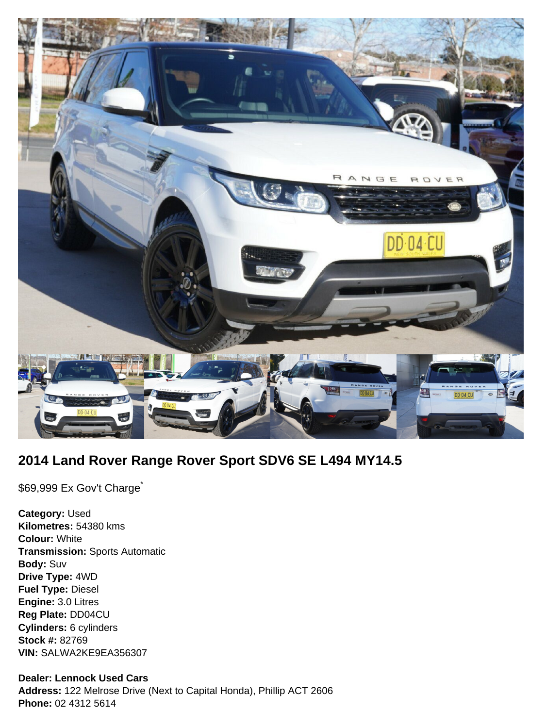

# **2014 Land Rover Range Rover Sport SDV6 SE L494 MY14.5**

\$69,999 Ex Gov't Charge<sup>\*</sup>

**Category:** Used **Kilometres:** 54380 kms **Colour:** White **Transmission:** Sports Automatic **Body:** Suv **Drive Type:** 4WD **Fuel Type:** Diesel **Engine:** 3.0 Litres **Reg Plate:** DD04CU **Cylinders:** 6 cylinders **Stock #:** 82769 **VIN:** SALWA2KE9EA356307

## **Dealer: Lennock Used Cars**

**Address:** 122 Melrose Drive (Next to Capital Honda), Phillip ACT 2606 **Phone:** 02 4312 5614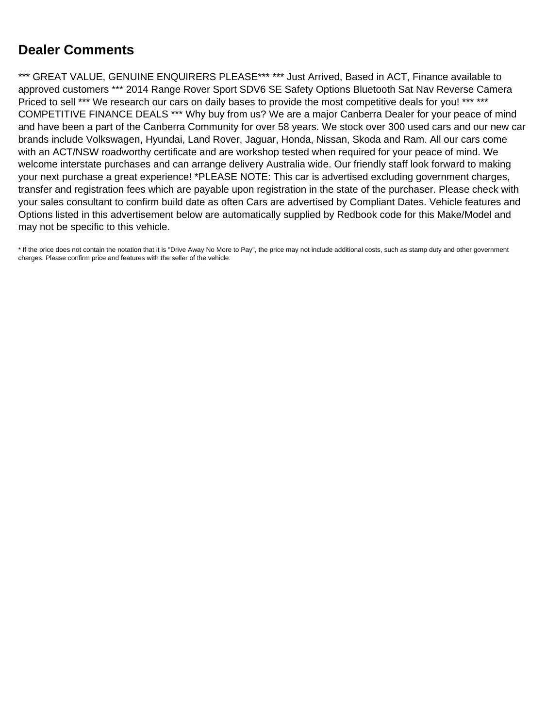# **Dealer Comments**

\*\*\* GREAT VALUE, GENUINE ENQUIRERS PLEASE\*\*\* \*\*\* Just Arrived, Based in ACT, Finance available to approved customers \*\*\* 2014 Range Rover Sport SDV6 SE Safety Options Bluetooth Sat Nav Reverse Camera Priced to sell \*\*\* We research our cars on daily bases to provide the most competitive deals for you! \*\*\* \*\*\* COMPETITIVE FINANCE DEALS \*\*\* Why buy from us? We are a major Canberra Dealer for your peace of mind and have been a part of the Canberra Community for over 58 years. We stock over 300 used cars and our new car brands include Volkswagen, Hyundai, Land Rover, Jaguar, Honda, Nissan, Skoda and Ram. All our cars come with an ACT/NSW roadworthy certificate and are workshop tested when required for your peace of mind. We welcome interstate purchases and can arrange delivery Australia wide. Our friendly staff look forward to making your next purchase a great experience! \*PLEASE NOTE: This car is advertised excluding government charges, transfer and registration fees which are payable upon registration in the state of the purchaser. Please check with your sales consultant to confirm build date as often Cars are advertised by Compliant Dates. Vehicle features and Options listed in this advertisement below are automatically supplied by Redbook code for this Make/Model and may not be specific to this vehicle.

\* If the price does not contain the notation that it is "Drive Away No More to Pay", the price may not include additional costs, such as stamp duty and other government charges. Please confirm price and features with the seller of the vehicle.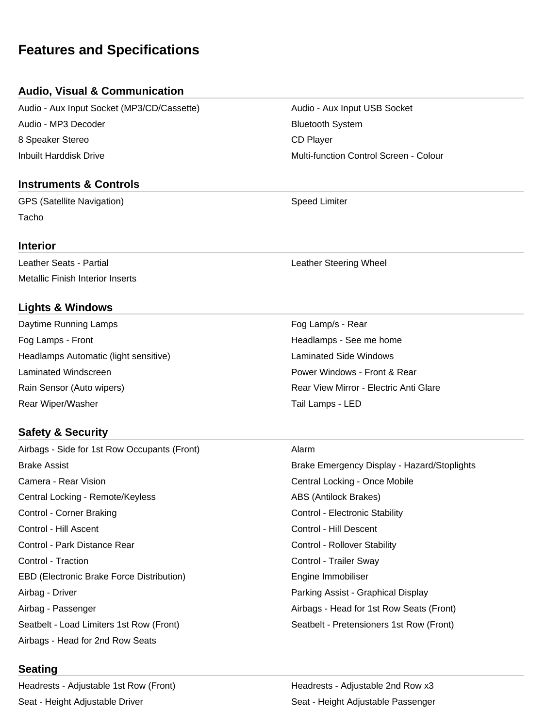# **Features and Specifications**

# **Audio, Visual & Communication**

Audio - Aux Input Socket (MP3/CD/Cassette) Audio - Aux Input USB Socket Audio - MP3 Decoder Bluetooth System 8 Speaker Stereo CD Player Inbuilt Harddisk Drive Multi-function Control Screen - Colour

# **Instruments & Controls**

GPS (Satellite Navigation) Speed Limiter Tacho

#### **Interior**

Leather Seats - Partial **Leather Steering Wheel** Metallic Finish Interior Inserts

# **Lights & Windows**

Daytime Running Lamps **Fog Lamp**/s - Rear Fog Lamps - Front **Front** Headlamps - See me home **Headlamps** - See me home Headlamps Automatic (light sensitive) example and the control and the Laminated Side Windows Laminated Windscreen Power Windows - Front & Rear Rain Sensor (Auto wipers) The Rear View Mirror - Electric Anti Glare Rear Wiper/Washer National Lamps - LED

# **Safety & Security**

Airbags - Side for 1st Row Occupants (Front) Alarm Brake Assist Brake Emergency Display - Hazard/Stoplights Camera - Rear Vision Central Locking - Once Mobile Central Locking - Remote/Keyless ABS (Antilock Brakes) Control - Corner Braking Control - Electronic Stability Control - Hill Ascent Control - Hill Descent Control - Park Distance Rear Control - Rollover Stability Control - Traction Control - Trailer Sway EBD (Electronic Brake Force Distribution) The Summon Engine Immobiliser Airbag - Driver Parking Assist - Graphical Display Airbag - Passenger **Airbags - Head for 1st Row Seats (Front)** Seatbelt - Load Limiters 1st Row (Front) Seatbelt - Pretensioners 1st Row (Front) Airbags - Head for 2nd Row Seats

# **Seating**

Headrests - Adjustable 1st Row (Front) The Meadrests - Adjustable 2nd Row x3 Seat - Height Adjustable Driver Seat - Height Adjustable Passenger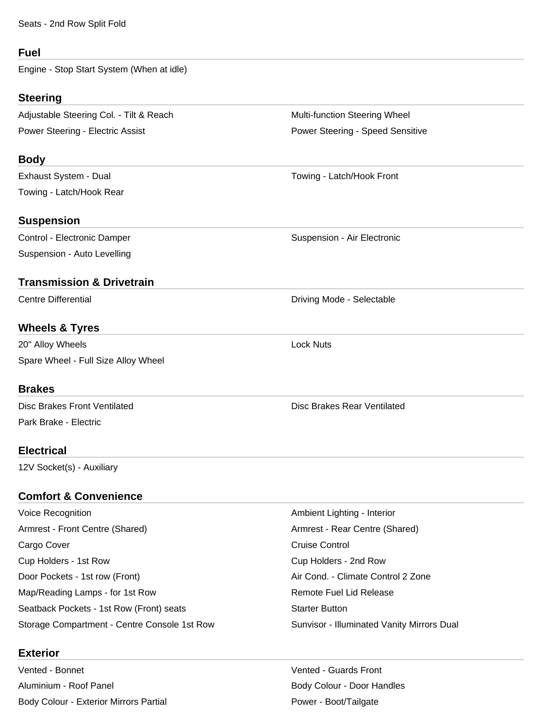Seats - 2nd Row Split Fold

### **Fuel**

Engine - Stop Start System (When at idle)

# **Steering**

Adjustable Steering Col. - Tilt & Reach Multi-function Steering Wheel Power Steering - Electric Assist **Power Steering - Speed Sensitive** Power Steering - Speed Sensitive

# **Body**

Towing - Latch/Hook Rear

# **Suspension**

Control - Electronic Damper **Suspension - Air Electronic** Control - Air Electronic Suspension - Auto Levelling

# **Transmission & Drivetrain**

# **Wheels & Tyres**

20" Alloy Wheels **Lock Nuts** Spare Wheel - Full Size Alloy Wheel

# **Brakes**

Park Brake - Electric

# **Electrical**

12V Socket(s) - Auxiliary

# **Comfort & Convenience**

Voice Recognition **Ambient Lighting - Interior** Ambient Lighting - Interior Armrest - Front Centre (Shared) Armrest - Rear Centre (Shared) Cargo Cover **Cargo Cover Cruise Control** Cup Holders - 1st Row Cup Holders - 2nd Row Door Pockets - 1st row (Front) Air Cond. - Climate Control 2 Zone Map/Reading Lamps - for 1st Row **Remote Fuel Lid Release** Remote Fuel Lid Release Seatback Pockets - 1st Row (Front) seats Starter Button Starter Button Storage Compartment - Centre Console 1st Row Sunvisor - Illuminated Vanity Mirrors Dual

# **Exterior**

Vented - Bonnet Vented - Guards Front Aluminium - Roof Panel Body Colour - Door Handles Body Colour - Exterior Mirrors Partial Prover - Boot/Tailgate

Exhaust System - Dual Towing - Latch/Hook Front

Centre Differential **Driving Mode - Selectable** 

Disc Brakes Front Ventilated **Disc Brakes Rear Ventilated** Disc Brakes Rear Ventilated